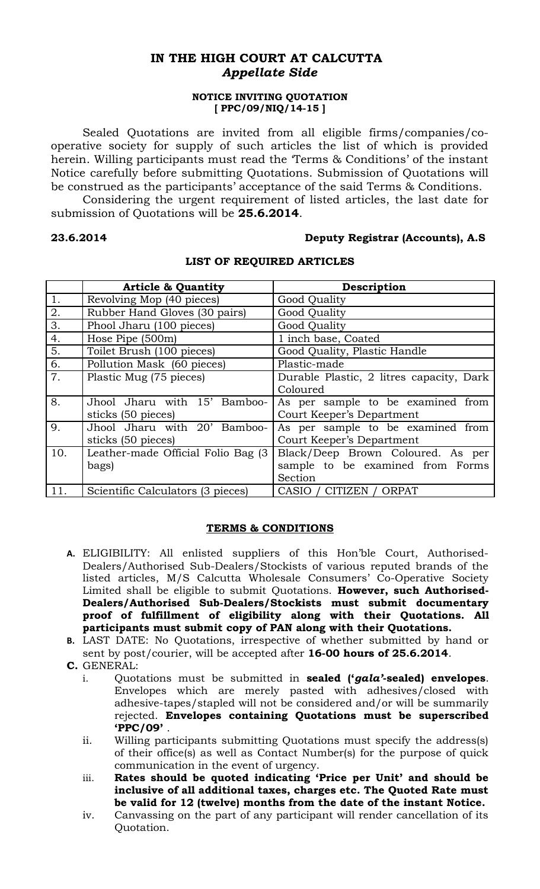# **IN THE HIGH COURT AT CALCUTTA** *Appellate Side*

## **NOTICE INVITING QUOTATION [ PPC/09/NIQ/14-15 ]**

Sealed Quotations are invited from all eligible firms/companies/cooperative society for supply of such articles the list of which is provided herein. Willing participants must read the 'Terms & Conditions' of the instant Notice carefully before submitting Quotations. Submission of Quotations will be construed as the participants' acceptance of the said Terms & Conditions.

Considering the urgent requirement of listed articles, the last date for submission of Quotations will be **25.6.2014**.

## **23.6.2014 Deputy Registrar (Accounts), A.S**

|     | <b>Article &amp; Quantity</b>       | Description                              |
|-----|-------------------------------------|------------------------------------------|
| 1.  | Revolving Mop (40 pieces)           | Good Quality                             |
| 2.  | Rubber Hand Gloves (30 pairs)       | Good Quality                             |
| 3.  | Phool Jharu (100 pieces)            | Good Quality                             |
| 4.  | Hose Pipe (500m)                    | 1 inch base, Coated                      |
| 5.  | Toilet Brush (100 pieces)           | Good Quality, Plastic Handle             |
| 6.  | Pollution Mask (60 pieces)          | Plastic-made                             |
| 7.  | Plastic Mug (75 pieces)             | Durable Plastic, 2 litres capacity, Dark |
|     |                                     | Coloured                                 |
| 8.  | Jhool Jharu with 15' Bamboo-        | As per sample to be examined from        |
|     | sticks (50 pieces)                  | Court Keeper's Department                |
| 9.  | Jhool Jharu with 20' Bamboo-        | As per sample to be examined from        |
|     | sticks (50 pieces)                  | Court Keeper's Department                |
| 10. | Leather-made Official Folio Bag (3) | Black/Deep Brown Coloured. As per        |
|     | bags)                               | sample to be examined from Forms         |
|     |                                     | Section                                  |
| 11. | Scientific Calculators (3 pieces)   | CASIO / CITIZEN / ORPAT                  |

## **LIST OF REQUIRED ARTICLES**

### **TERMS & CONDITIONS**

- **A.** ELIGIBILITY: All enlisted suppliers of this Hon'ble Court, Authorised-Dealers/Authorised Sub-Dealers/Stockists of various reputed brands of the listed articles, M/S Calcutta Wholesale Consumers' Co-Operative Society Limited shall be eligible to submit Quotations. **However, such Authorised-Dealers/Authorised Sub-Dealers/Stockists must submit documentary proof of fulfillment of eligibility along with their Quotations. All participants must submit copy of PAN along with their Quotations.**
- **B.** LAST DATE: No Quotations, irrespective of whether submitted by hand or sent by post/courier, will be accepted after **16-00 hours of 25.6.2014**.
- **C.** GENERAL:
	- i. Quotations must be submitted in **sealed ('***gala'***-sealed) envelopes**. Envelopes which are merely pasted with adhesives/closed with adhesive-tapes/stapled will not be considered and/or will be summarily rejected. **Envelopes containing Quotations must be superscribed 'PPC/09'** .
	- ii. Willing participants submitting Quotations must specify the address(s) of their office(s) as well as Contact Number(s) for the purpose of quick communication in the event of urgency.
	- iii. **Rates should be quoted indicating 'Price per Unit' and should be inclusive of all additional taxes, charges etc. The Quoted Rate must be valid for 12 (twelve) months from the date of the instant Notice.**
	- iv. Canvassing on the part of any participant will render cancellation of its Quotation.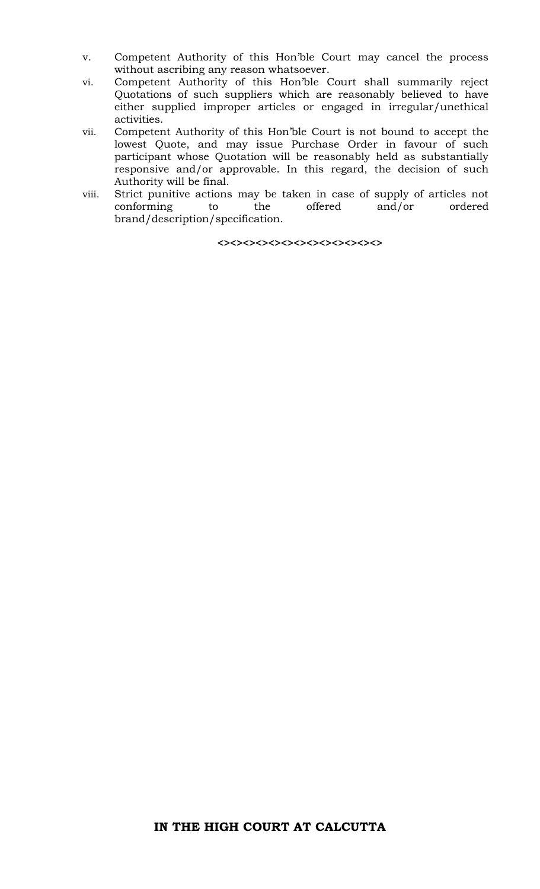- v. Competent Authority of this Hon'ble Court may cancel the process without ascribing any reason whatsoever.
- vi. Competent Authority of this Hon'ble Court shall summarily reject Quotations of such suppliers which are reasonably believed to have either supplied improper articles or engaged in irregular/unethical activities.
- vii. Competent Authority of this Hon'ble Court is not bound to accept the lowest Quote, and may issue Purchase Order in favour of such participant whose Quotation will be reasonably held as substantially responsive and/or approvable. In this regard, the decision of such Authority will be final.
- viii. Strict punitive actions may be taken in case of supply of articles not conforming to the offered and/or ordered brand/description/specification.

**<><><><><><><><><><><><><>**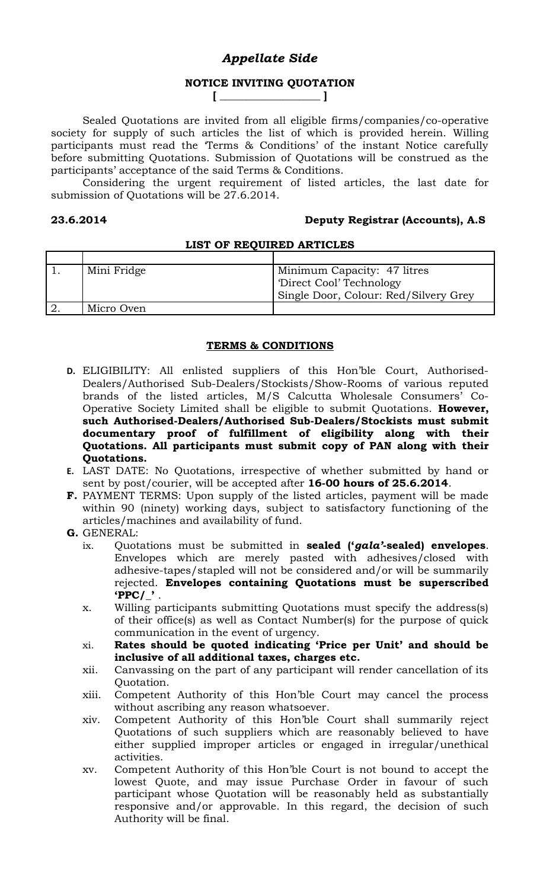# *Appellate Side*

## **NOTICE INVITING QUOTATION [ \_\_\_\_\_\_\_\_\_\_\_\_\_\_\_\_\_\_\_ ]**

Sealed Quotations are invited from all eligible firms/companies/co-operative society for supply of such articles the list of which is provided herein. Willing participants must read the 'Terms & Conditions' of the instant Notice carefully before submitting Quotations. Submission of Quotations will be construed as the participants' acceptance of the said Terms & Conditions.

Considering the urgent requirement of listed articles, the last date for submission of Quotations will be 27.6.2014.

# **23.6.2014 Deputy Registrar (Accounts), A.S**

## **LIST OF REQUIRED ARTICLES**

| Mini Fridge | Minimum Capacity: 47 litres           |
|-------------|---------------------------------------|
|             | Direct Cool' Technology               |
|             | Single Door, Colour: Red/Silvery Grey |
| Micro Oven  |                                       |

## **TERMS & CONDITIONS**

- **D.** ELIGIBILITY: All enlisted suppliers of this Hon'ble Court, Authorised-Dealers/Authorised Sub-Dealers/Stockists/Show-Rooms of various reputed brands of the listed articles, M/S Calcutta Wholesale Consumers' Co-Operative Society Limited shall be eligible to submit Quotations. **However, such Authorised-Dealers/Authorised Sub-Dealers/Stockists must submit documentary proof of fulfillment of eligibility along with their Quotations. All participants must submit copy of PAN along with their Quotations.**
- **E.** LAST DATE: No Quotations, irrespective of whether submitted by hand or sent by post/courier, will be accepted after **16-00 hours of 25.6.2014**.
- **F.** PAYMENT TERMS: Upon supply of the listed articles, payment will be made within 90 (ninety) working days, subject to satisfactory functioning of the articles/machines and availability of fund.
- **G.** GENERAL:
	- ix. Quotations must be submitted in **sealed ('***gala'***-sealed) envelopes**. Envelopes which are merely pasted with adhesives/closed with adhesive-tapes/stapled will not be considered and/or will be summarily rejected. **Envelopes containing Quotations must be superscribed 'PPC/\_'** .
	- x. Willing participants submitting Quotations must specify the address(s) of their office(s) as well as Contact Number(s) for the purpose of quick communication in the event of urgency.
	- xi. **Rates should be quoted indicating 'Price per Unit' and should be inclusive of all additional taxes, charges etc.**
	- xii. Canvassing on the part of any participant will render cancellation of its Quotation.
	- xiii. Competent Authority of this Hon'ble Court may cancel the process without ascribing any reason whatsoever.
	- xiv. Competent Authority of this Hon'ble Court shall summarily reject Quotations of such suppliers which are reasonably believed to have either supplied improper articles or engaged in irregular/unethical activities.
	- xv. Competent Authority of this Hon'ble Court is not bound to accept the lowest Quote, and may issue Purchase Order in favour of such participant whose Quotation will be reasonably held as substantially responsive and/or approvable. In this regard, the decision of such Authority will be final.